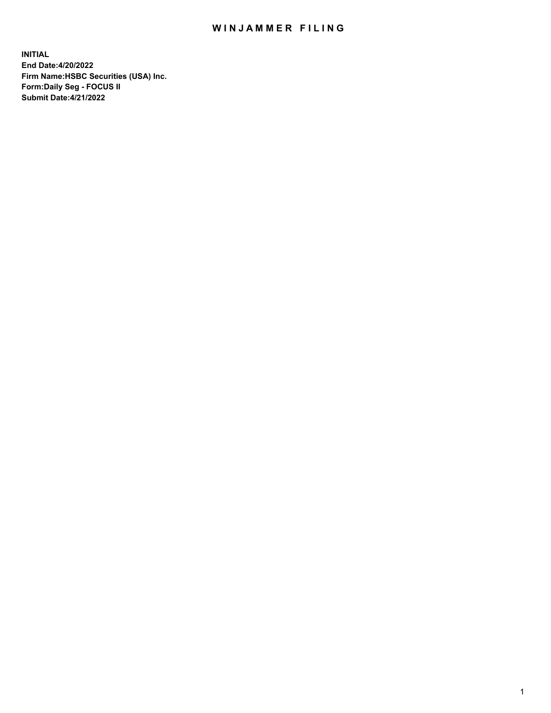## WIN JAMMER FILING

**INITIAL End Date:4/20/2022 Firm Name:HSBC Securities (USA) Inc. Form:Daily Seg - FOCUS II Submit Date:4/21/2022**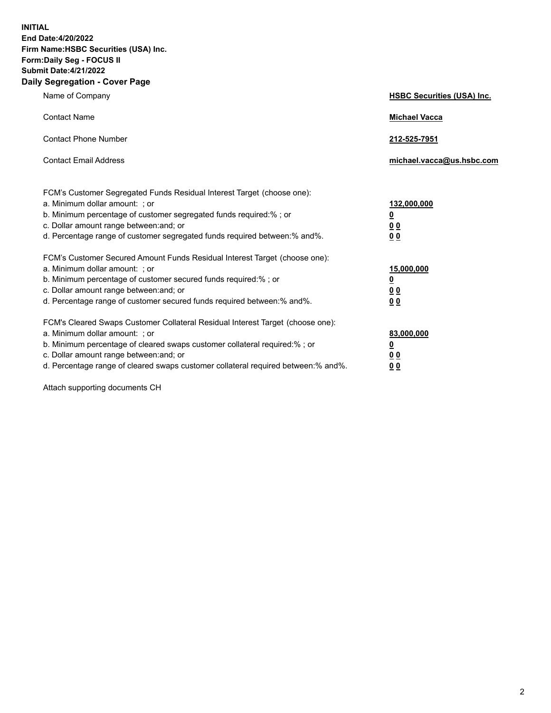**INITIAL End Date:4/20/2022 Firm Name:HSBC Securities (USA) Inc. Form:Daily Seg - FOCUS II Submit Date:4/21/2022 Daily Segregation - Cover Page**

| Name of Company                                                                                                                                                                                                                                                                                                                | <b>HSBC Securities (USA) Inc.</b>                                           |
|--------------------------------------------------------------------------------------------------------------------------------------------------------------------------------------------------------------------------------------------------------------------------------------------------------------------------------|-----------------------------------------------------------------------------|
| <b>Contact Name</b>                                                                                                                                                                                                                                                                                                            | <b>Michael Vacca</b>                                                        |
| <b>Contact Phone Number</b>                                                                                                                                                                                                                                                                                                    | 212-525-7951                                                                |
| <b>Contact Email Address</b>                                                                                                                                                                                                                                                                                                   | michael.vacca@us.hsbc.com                                                   |
| FCM's Customer Segregated Funds Residual Interest Target (choose one):<br>a. Minimum dollar amount: ; or<br>b. Minimum percentage of customer segregated funds required:%; or<br>c. Dollar amount range between: and; or<br>d. Percentage range of customer segregated funds required between: % and %.                        | 132,000,000<br>$\underline{\mathbf{0}}$<br>0 <sub>0</sub><br>0 <sub>0</sub> |
| FCM's Customer Secured Amount Funds Residual Interest Target (choose one):<br>a. Minimum dollar amount: ; or<br>b. Minimum percentage of customer secured funds required:%; or<br>c. Dollar amount range between: and; or<br>d. Percentage range of customer secured funds required between: % and %.                          | 15,000,000<br><u>0</u><br>0 <sub>0</sub><br>0 <sub>0</sub>                  |
| FCM's Cleared Swaps Customer Collateral Residual Interest Target (choose one):<br>a. Minimum dollar amount: ; or<br>b. Minimum percentage of cleared swaps customer collateral required:% ; or<br>c. Dollar amount range between: and; or<br>d. Percentage range of cleared swaps customer collateral required between:% and%. | 83,000,000<br><u>0</u><br><u>00</u><br>00                                   |

Attach supporting documents CH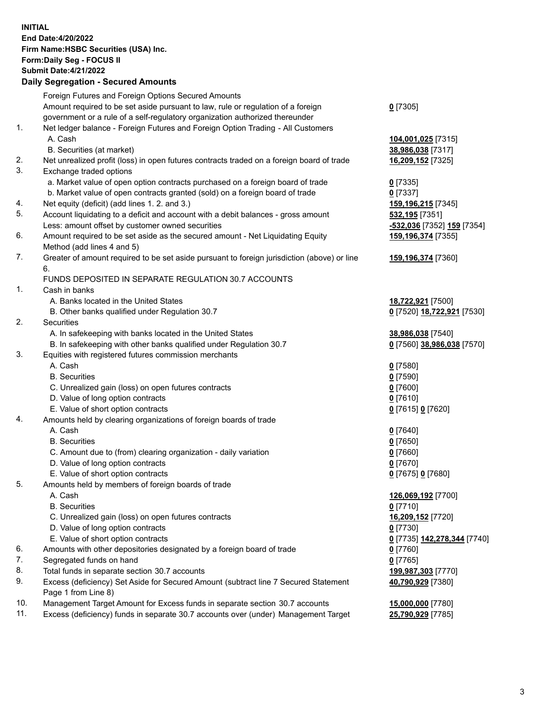**INITIAL End Date:4/20/2022 Firm Name:HSBC Securities (USA) Inc. Form:Daily Seg - FOCUS II Submit Date:4/21/2022 Daily Segregation - Secured Amounts** Foreign Futures and Foreign Options Secured Amounts Amount required to be set aside pursuant to law, rule or regulation of a foreign government or a rule of a self-regulatory organization authorized thereunder **0** [7305] 1. Net ledger balance - Foreign Futures and Foreign Option Trading - All Customers A. Cash **104,001,025** [7315] B. Securities (at market) **38,986,038** [7317] 2. Net unrealized profit (loss) in open futures contracts traded on a foreign board of trade **16,209,152** [7325] 3. Exchange traded options a. Market value of open option contracts purchased on a foreign board of trade **0** [7335] b. Market value of open contracts granted (sold) on a foreign board of trade **0** [7337] 4. Net equity (deficit) (add lines 1. 2. and 3.) **159,196,215** [7345] 5. Account liquidating to a deficit and account with a debit balances - gross amount **532,195** [7351] Less: amount offset by customer owned securities **-532,036** [7352] **159** [7354] 6. Amount required to be set aside as the secured amount - Net Liquidating Equity Method (add lines 4 and 5) **159,196,374** [7355] 7. Greater of amount required to be set aside pursuant to foreign jurisdiction (above) or line 6. **159,196,374** [7360] FUNDS DEPOSITED IN SEPARATE REGULATION 30.7 ACCOUNTS 1. Cash in banks A. Banks located in the United States **18,722,921** [7500] B. Other banks qualified under Regulation 30.7 **0** [7520] **18,722,921** [7530] 2. Securities A. In safekeeping with banks located in the United States **38,986,038** [7540] B. In safekeeping with other banks qualified under Regulation 30.7 **0** [7560] **38,986,038** [7570] 3. Equities with registered futures commission merchants A. Cash **0** [7580] B. Securities **0** [7590] C. Unrealized gain (loss) on open futures contracts **0** [7600] D. Value of long option contracts **0** [7610] E. Value of short option contracts **0** [7615] **0** [7620] 4. Amounts held by clearing organizations of foreign boards of trade A. Cash **0** [7640] B. Securities **0** [7650] C. Amount due to (from) clearing organization - daily variation **0** [7660] D. Value of long option contracts **0** [7670] E. Value of short option contracts **0** [7675] **0** [7680] 5. Amounts held by members of foreign boards of trade A. Cash **126,069,192** [7700] B. Securities **0** [7710] C. Unrealized gain (loss) on open futures contracts **16,209,152** [7720] D. Value of long option contracts **0** [7730] E. Value of short option contracts **0** [7735] **142,278,344** [7740] 6. Amounts with other depositories designated by a foreign board of trade **0** [7760] 7. Segregated funds on hand **0** [7765] 8. Total funds in separate section 30.7 accounts **199,987,303** [7770] 9. Excess (deficiency) Set Aside for Secured Amount (subtract line 7 Secured Statement Page 1 from Line 8) **40,790,929** [7380] 10. Management Target Amount for Excess funds in separate section 30.7 accounts **15,000,000** [7780]

11. Excess (deficiency) funds in separate 30.7 accounts over (under) Management Target **25,790,929** [7785]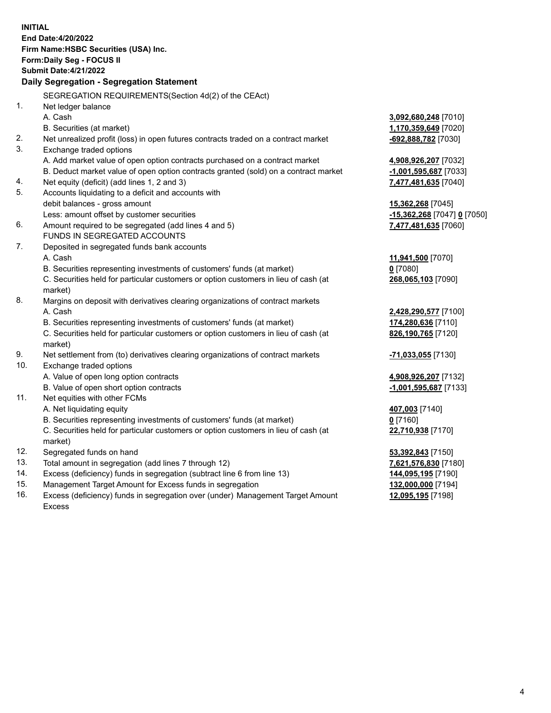**INITIAL End Date:4/20/2022 Firm Name:HSBC Securities (USA) Inc. Form:Daily Seg - FOCUS II Submit Date:4/21/2022 Daily Segregation - Segregation Statement** SEGREGATION REQUIREMENTS(Section 4d(2) of the CEAct) 1. Net ledger balance A. Cash **3,092,680,248** [7010] B. Securities (at market) **1,170,359,649** [7020] 2. Net unrealized profit (loss) in open futures contracts traded on a contract market **-692,888,782** [7030] 3. Exchange traded options A. Add market value of open option contracts purchased on a contract market **4,908,926,207** [7032] B. Deduct market value of open option contracts granted (sold) on a contract market **-1,001,595,687** [7033] 4. Net equity (deficit) (add lines 1, 2 and 3) **7,477,481,635** [7040] 5. Accounts liquidating to a deficit and accounts with debit balances - gross amount **15,362,268** [7045] Less: amount offset by customer securities **-15,362,268** [7047] **0** [7050] 6. Amount required to be segregated (add lines 4 and 5) **7,477,481,635** [7060] FUNDS IN SEGREGATED ACCOUNTS 7. Deposited in segregated funds bank accounts A. Cash **11,941,500** [7070] B. Securities representing investments of customers' funds (at market) **0** [7080] C. Securities held for particular customers or option customers in lieu of cash (at market) **268,065,103** [7090] 8. Margins on deposit with derivatives clearing organizations of contract markets A. Cash **2,428,290,577** [7100] B. Securities representing investments of customers' funds (at market) **174,280,636** [7110] C. Securities held for particular customers or option customers in lieu of cash (at market) **826,190,765** [7120] 9. Net settlement from (to) derivatives clearing organizations of contract markets **-71,033,055** [7130] 10. Exchange traded options A. Value of open long option contracts **4,908,926,207** [7132] B. Value of open short option contracts **-1,001,595,687** [7133] 11. Net equities with other FCMs A. Net liquidating equity **407,003** [7140] B. Securities representing investments of customers' funds (at market) **0** [7160] C. Securities held for particular customers or option customers in lieu of cash (at market) **22,710,938** [7170] 12. Segregated funds on hand **53,392,843** [7150] 13. Total amount in segregation (add lines 7 through 12) **7,621,576,830** [7180] 14. Excess (deficiency) funds in segregation (subtract line 6 from line 13) **144,095,195** [7190] 15. Management Target Amount for Excess funds in segregation **132,000,000** [7194] 16. Excess (deficiency) funds in segregation over (under) Management Target Amount **12,095,195** [7198]

Excess